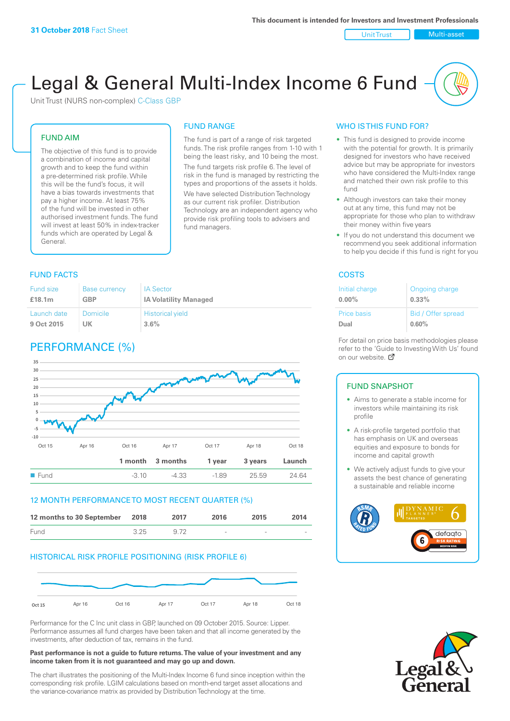#### Unit Trust Nulti-asset

# Legal & General Multi-Index Income 6 Fund

Unit Trust (NURS non-complex) C-Class GBP

## FUND AIM

The objective of this fund is to provide a combination of income and capital growth and to keep the fund within a pre-determined risk profile. While this will be the fund's focus, it will have a bias towards investments that pay a higher income. At least 75% of the fund will be invested in other authorised investment funds. The fund will invest at least 50% in index-tracker funds which are operated by Legal & General.

## The fund is part of a range of risk targeted

FUND RANGE

funds. The risk profile ranges from 1-10 with 1 being the least risky, and 10 being the most. The fund targets risk profile 6. The level of risk in the fund is managed by restricting the types and proportions of the assets it holds.

We have selected Distribution Technology as our current risk profiler. Distribution Technology are an independent agency who provide risk profiling tools to advisers and fund managers.

## **FUND FACTS** COSTS

| Fund size          | <b>Base currency</b> | <b>IA Sector</b>             |
|--------------------|----------------------|------------------------------|
| £18.1 <sub>m</sub> | <b>GBP</b>           | <b>IA Volatility Managed</b> |
| Launch date        | Domicile             | <b>Historical yield</b>      |
| 9 Oct 2015         | UK                   | 3.6%                         |

## PERFORMANCE (%)



## 12 MONTH PERFORMANCE TO MOST RECENT QUARTER (%)

| 12 months to 30 September 2018 |      | 2017 | 2016   | 2015   | 2014   |
|--------------------------------|------|------|--------|--------|--------|
| Fund                           | 3.25 | 9.72 | $\sim$ | $\sim$ | $\sim$ |

## HISTORICAL RISK PROFILE POSITIONING (RISK PROFILE 6)



Performance for the C Inc unit class in GBP, launched on 09 October 2015. Source: Lipper. Performance assumes all fund charges have been taken and that all income generated by the investments, after deduction of tax, remains in the fund.

#### **Past performance is not a guide to future returns. The value of your investment and any income taken from it is not guaranteed and may go up and down.**

The chart illustrates the positioning of the Multi-Index Income 6 fund since inception within the corresponding risk profile. LGIM calculations based on month-end target asset allocations and the variance-covariance matrix as provided by Distribution Technology at the time.

## WHO IS THIS FUND FOR?

- This fund is designed to provide income with the potential for growth. It is primarily designed for investors who have received advice but may be appropriate for investors who have considered the Multi-Index range and matched their own risk profile to this fund
- Although investors can take their money out at any time, this fund may not be appropriate for those who plan to withdraw their money within five years
- If you do not understand this document we recommend you seek additional information to help you decide if this fund is right for you

| Initial charge | Ongoing charge     |
|----------------|--------------------|
| $0.00\%$       | $0.33\%$           |
| Price basis    | Bid / Offer spread |
| Dual           | 0.60%              |

For detail on price basis methodologies please refer to the 'Gu[ide t](http://www.legalandgeneral.com/guide)o Investing With Us' found on our website. Ø

## FUND SNAPSHOT

- Aims to generate a stable income for investors while maintaining its risk profile
- A risk-profile targeted portfolio that has emphasis on UK and overseas equities and exposure to bonds for income and capital growth
- We actively adjust funds to give your assets the best chance of generating a sustainable and reliable income



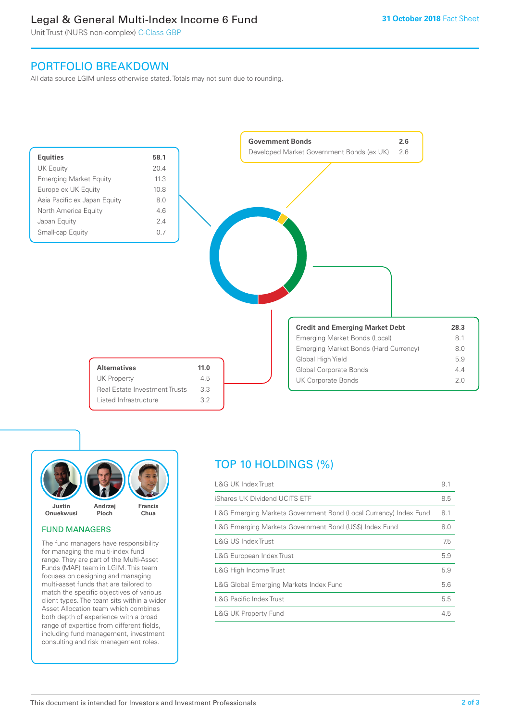## Legal & General Multi-Index Income 6 Fund

Unit Trust (NURS non-complex) C-Class GBP

## PORTFOLIO BREAKDOWN

All data source LGIM unless otherwise stated. Totals may not sum due to rounding.





## FUND MANAGERS

The fund managers have responsibility for managing the multi-index fund range. They are part of the Multi-Asset Funds (MAF) team in LGIM. This team focuses on designing and managing multi-asset funds that are tailored to match the specific objectives of various client types. The team sits within a wider Asset Allocation team which combines both depth of experience with a broad range of expertise from different fields, including fund management, investment consulting and risk management roles.

## TOP 10 HOLDINGS (%)

| <b>L&amp;G UK Index Trust</b>                                    | 9.1 |
|------------------------------------------------------------------|-----|
| iShares UK Dividend UCITS ETF                                    | 8.5 |
| L&G Emerging Markets Government Bond (Local Currency) Index Fund | 8.1 |
| L&G Emerging Markets Government Bond (US\$) Index Fund           | 8.0 |
| L&G US Index Trust                                               | 7.5 |
| L&G European Index Trust                                         | 5.9 |
| L&G High Income Trust                                            | 5.9 |
| L&G Global Emerging Markets Index Fund                           | 5.6 |
| <b>L&amp;G Pacific Index Trust</b>                               | 5.5 |
| <b>L&amp;G UK Property Fund</b>                                  | 4.5 |